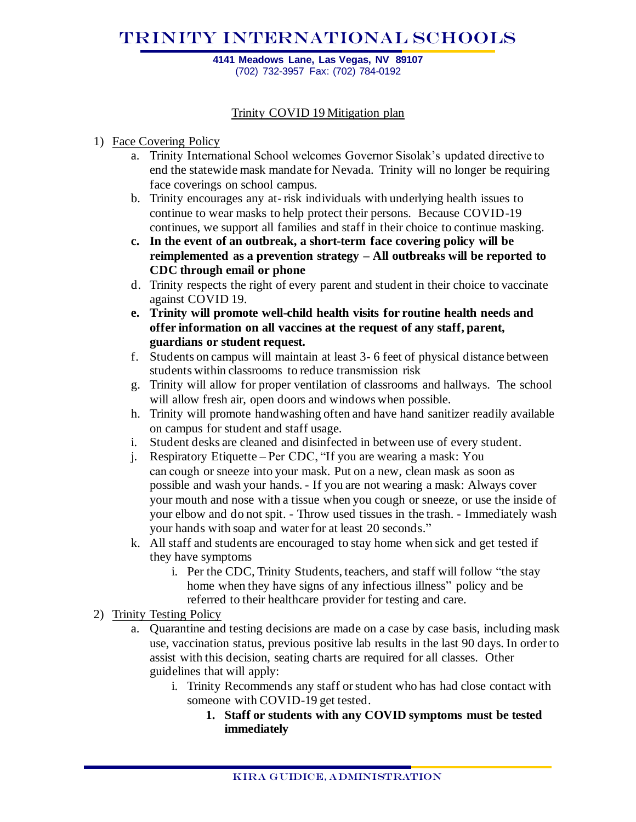# TRINITY International SCHOOLS

**4141 Meadows Lane, Las Vegas, NV 89107** (702) 732-3957 Fax: (702) 784-0192

### Trinity COVID 19 Mitigation plan

### 1) Face Covering Policy

- a. Trinity International School welcomes Governor Sisolak's updated directive to end the statewide mask mandate for Nevada. Trinity will no longer be requiring face coverings on school campus.
- b. Trinity encourages any at-risk individuals with underlying health issues to continue to wear masks to help protect their persons. Because COVID-19 continues, we support all families and staff in their choice to continue masking.
- **c. In the event of an outbreak, a short-term face covering policy will be reimplemented as a prevention strategy – All outbreaks will be reported to CDC through email or phone**
- d. Trinity respects the right of every parent and student in their choice to vaccinate against COVID 19.
- **e. Trinity will promote well-child health visits for routine health needs and offer information on all vaccines at the request of any staff, parent, guardians or student request.**
- f. Students on campus will maintain at least 3- 6 feet of physical distance between students within classrooms to reduce transmission risk
- g. Trinity will allow for proper ventilation of classrooms and hallways. The school will allow fresh air, open doors and windows when possible.
- h. Trinity will promote handwashing often and have hand sanitizer readily available on campus for student and staff usage.
- i. Student desks are cleaned and disinfected in between use of every student.
- j. Respiratory Etiquette Per CDC, "If you are wearing a mask: You can cough or sneeze into your mask. Put on a new, clean mask as soon as possible and wash your hands. - If you are not wearing a mask: Always cover your mouth and nose with a tissue when you cough or sneeze, or use the inside of your elbow and do not spit. - Throw used tissues in the trash. - Immediately wash your hands with soap and water for at least 20 seconds."
- k. All staff and students are encouraged to stay home when sick and get tested if they have symptoms
	- i. Per the CDC, Trinity Students, teachers, and staff will follow "the stay home when they have signs of any infectious illness" policy and be referred to their healthcare provider for testing and care.
- 2) Trinity Testing Policy
	- a. Quarantine and testing decisions are made on a case by case basis, including mask use, vaccination status, previous positive lab results in the last 90 days. In order to assist with this decision, seating charts are required for all classes. Other guidelines that will apply:
		- i. Trinity Recommends any staff or student who has had close contact with someone with COVID-19 get tested.
			- **1. Staff or students with any COVID symptoms must be tested immediately**